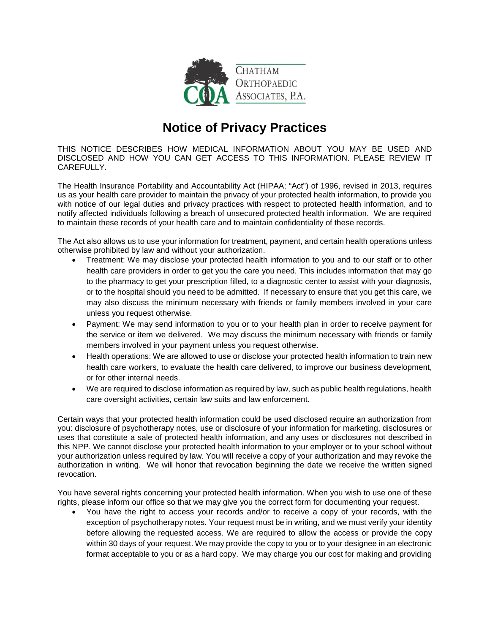

## **Notice of Privacy Practices**

THIS NOTICE DESCRIBES HOW MEDICAL INFORMATION ABOUT YOU MAY BE USED AND DISCLOSED AND HOW YOU CAN GET ACCESS TO THIS INFORMATION. PLEASE REVIEW IT CAREFULLY.

The Health Insurance Portability and Accountability Act (HIPAA; "Act") of 1996, revised in 2013, requires us as your health care provider to maintain the privacy of your protected health information, to provide you with notice of our legal duties and privacy practices with respect to protected health information, and to notify affected individuals following a breach of unsecured protected health information. We are required to maintain these records of your health care and to maintain confidentiality of these records.

The Act also allows us to use your information for treatment, payment, and certain health operations unless otherwise prohibited by law and without your authorization.

- Treatment: We may disclose your protected health information to you and to our staff or to other health care providers in order to get you the care you need. This includes information that may go to the pharmacy to get your prescription filled, to a diagnostic center to assist with your diagnosis, or to the hospital should you need to be admitted. If necessary to ensure that you get this care, we may also discuss the minimum necessary with friends or family members involved in your care unless you request otherwise.
- Payment: We may send information to you or to your health plan in order to receive payment for the service or item we delivered. We may discuss the minimum necessary with friends or family members involved in your payment unless you request otherwise.
- Health operations: We are allowed to use or disclose your protected health information to train new health care workers, to evaluate the health care delivered, to improve our business development, or for other internal needs.
- We are required to disclose information as required by law, such as public health regulations, health care oversight activities, certain law suits and law enforcement.

Certain ways that your protected health information could be used disclosed require an authorization from you: disclosure of psychotherapy notes, use or disclosure of your information for marketing, disclosures or uses that constitute a sale of protected health information, and any uses or disclosures not described in this NPP. We cannot disclose your protected health information to your employer or to your school without your authorization unless required by law. You will receive a copy of your authorization and may revoke the authorization in writing. We will honor that revocation beginning the date we receive the written signed revocation.

You have several rights concerning your protected health information. When you wish to use one of these rights, please inform our office so that we may give you the correct form for documenting your request.

• You have the right to access your records and/or to receive a copy of your records, with the exception of psychotherapy notes. Your request must be in writing, and we must verify your identity before allowing the requested access. We are required to allow the access or provide the copy within 30 days of your request. We may provide the copy to you or to your designee in an electronic format acceptable to you or as a hard copy. We may charge you our cost for making and providing